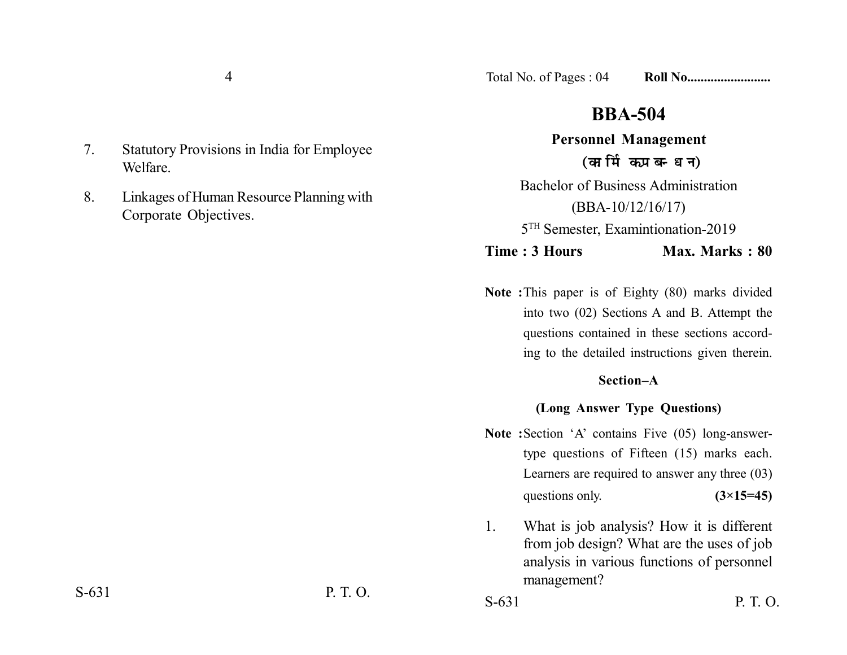7. Statutory Provisions in India for Employee Welfare.

8. Linkages of Human Resource Planning with Corporate Objectives.

# **BBA-504**

# **Personnel Management** (कार्मिक प्रबन्धन)

Bachelor of Business Administration (BBA-10/12/16/17) 5TH Semester, Examintionation-2019

# **Time : 3 Hours Max. Marks : 80**

**Note :**This paper is of Eighty (80) marks divided into two (02) Sections A and B. Attempt the questions contained in these sections according to the detailed instructions given therein.

### **Section–A**

## **(Long Answer Type Questions)**

- **Note :**Section 'A' contains Five (05) long-answertype questions of Fifteen (15) marks each. Learners are required to answer any three (03) questions only.  $(3\times15=45)$
- 1. What is job analysis? How it is different from job design? What are the uses of job analysis in various functions of personnel management?

S-631 P. T. O. S-631 P. T. O.